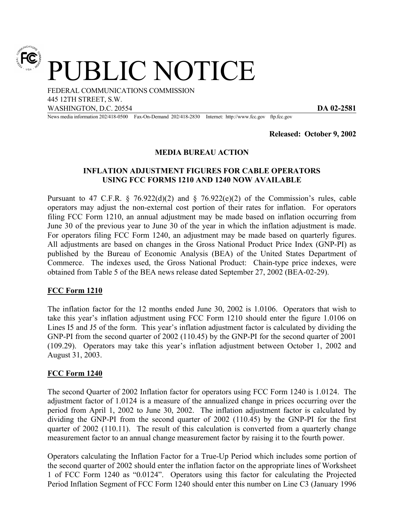

PUBLIC NOTICE

FEDERAL COMMUNICATIONS COMMISSION 445 12TH STREET, S.W. WASHINGTON, D.C. 20554 **DA 02-2581**

News media information 202/418-0500 Fax-On-Demand 202/418-2830 Internet: http://www.fcc.gov ftp.fcc.gov

**Released: October 9, 2002**

## **MEDIA BUREAU ACTION**

## **INFLATION ADJUSTMENT FIGURES FOR CABLE OPERATORS USING FCC FORMS 1210 AND 1240 NOW AVAILABLE**

Pursuant to 47 C.F.R.  $\S$  76.922(d)(2) and  $\S$  76.922(e)(2) of the Commission's rules, cable operators may adjust the non-external cost portion of their rates for inflation. For operators filing FCC Form 1210, an annual adjustment may be made based on inflation occurring from June 30 of the previous year to June 30 of the year in which the inflation adjustment is made. For operators filing FCC Form 1240, an adjustment may be made based on quarterly figures. All adjustments are based on changes in the Gross National Product Price Index (GNP-PI) as published by the Bureau of Economic Analysis (BEA) of the United States Department of Commerce. The indexes used, the Gross National Product: Chain-type price indexes, were obtained from Table 5 of the BEA news release dated September 27, 2002 (BEA-02-29).

## **FCC Form 1210**

The inflation factor for the 12 months ended June 30, 2002 is 1.0106. Operators that wish to take this year's inflation adjustment using FCC Form 1210 should enter the figure 1.0106 on Lines I5 and J5 of the form. This year's inflation adjustment factor is calculated by dividing the GNP-PI from the second quarter of 2002 (110.45) by the GNP-PI for the second quarter of 2001 (109.29). Operators may take this year's inflation adjustment between October 1, 2002 and August 31, 2003.

## **FCC Form 1240**

The second Quarter of 2002 Inflation factor for operators using FCC Form 1240 is 1.0124. The adjustment factor of 1.0124 is a measure of the annualized change in prices occurring over the period from April 1, 2002 to June 30, 2002. The inflation adjustment factor is calculated by dividing the GNP-PI from the second quarter of 2002 (110.45) by the GNP-PI for the first quarter of 2002 (110.11). The result of this calculation is converted from a quarterly change measurement factor to an annual change measurement factor by raising it to the fourth power.

Operators calculating the Inflation Factor for a True-Up Period which includes some portion of the second quarter of 2002 should enter the inflation factor on the appropriate lines of Worksheet 1 of FCC Form 1240 as "0.0124". Operators using this factor for calculating the Projected Period Inflation Segment of FCC Form 1240 should enter this number on Line C3 (January 1996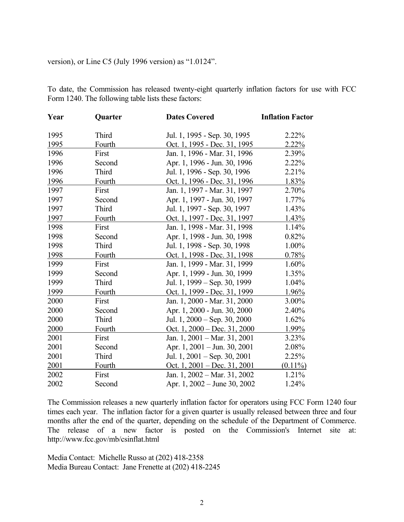version), or Line C5 (July 1996 version) as "1.0124".

To date, the Commission has released twenty-eight quarterly inflation factors for use with FCC Form 1240. The following table lists these factors:

| Year | Quarter | <b>Dates Covered</b>                   | <b>Inflation Factor</b> |
|------|---------|----------------------------------------|-------------------------|
| 1995 | Third   | Jul. 1, 1995 - Sep. 30, 1995           | 2.22%                   |
| 1995 | Fourth  | Oct. 1, 1995 - Dec. 31, 1995           | 2.22%                   |
| 1996 | First   | Jan. 1, 1996 - Mar. 31, 1996           | 2.39%                   |
| 1996 | Second  | Apr. 1, 1996 - Jun. 30, 1996           | 2.22%                   |
| 1996 | Third   | Jul. 1, 1996 - Sep. 30, 1996           | 2.21%                   |
| 1996 | Fourth  | Oct. 1, 1996 - Dec. 31, 1996           | $1.83\%$                |
| 1997 | First   | Jan. 1, 1997 - Mar. 31, 1997           | 2.70%                   |
| 1997 | Second  | Apr. 1, 1997 - Jun. 30, 1997           | 1.77%                   |
| 1997 | Third   | Jul. 1, 1997 - Sep. 30, 1997           | 1.43%                   |
| 1997 | Fourth  | Oct. 1, 1997 - Dec. 31, 1997           | $1.43\%$                |
| 1998 | First   | Jan. 1, 1998 - Mar. 31, 1998           | 1.14%                   |
| 1998 | Second  | Apr. 1, 1998 - Jun. 30, 1998           | 0.82%                   |
| 1998 | Third   | Jul. 1, 1998 - Sep. 30, 1998           | 1.00%                   |
| 1998 | Fourth  | Oct. 1, 1998 - Dec. 31, 1998           | 0.78%                   |
| 1999 | First   | Jan. 1, 1999 - Mar. 31, 1999           | 1.60%                   |
| 1999 | Second  | Apr. 1, 1999 - Jun. 30, 1999           | 1.35%                   |
| 1999 | Third   | Jul. 1, 1999 – Sep. 30, 1999           | 1.04%                   |
| 1999 | Fourth  | Oct. 1, 1999 - Dec. 31, 1999           | 1.96%                   |
| 2000 | First   | Jan. 1, 2000 - Mar. 31, 2000           | $3.00\%$                |
| 2000 | Second  | Apr. 1, 2000 - Jun. 30, 2000           | 2.40%                   |
| 2000 | Third   | Jul. 1, 2000 – Sep. 30, 2000           | 1.62%                   |
| 2000 | Fourth  | Oct. $1,2000 - Dec.$ 31, 2000          | 1.99%                   |
| 2001 | First   | Jan. 1, 2001 – Mar. 31, 2001           | 3.23%                   |
| 2001 | Second  | Apr. 1, 2001 – Jun. 30, 2001           | 2.08%                   |
| 2001 | Third   | Jul. 1, 2001 – Sep. 30, 2001           | 2.25%                   |
| 2001 | Fourth  | Oct. 1, $2001 - Dec. 31, 2001$         | $(0.11\%)$              |
| 2002 | First   | Jan. 1, $2002 - \text{Mar. } 31, 2002$ | 1.21%                   |
| 2002 | Second  | Apr. 1, 2002 – June 30, 2002           | 1.24%                   |

The Commission releases a new quarterly inflation factor for operators using FCC Form 1240 four times each year. The inflation factor for a given quarter is usually released between three and four months after the end of the quarter, depending on the schedule of the Department of Commerce. The release of a new factor is posted on the Commission's Internet site at: http://www.fcc.gov/mb/csinflat.html

Media Contact: Michelle Russo at (202) 418-2358 Media Bureau Contact: Jane Frenette at (202) 418-2245